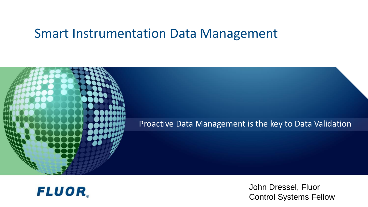#### Smart Instrumentation Data Management





John Dressel, Fluor Control Systems Fellow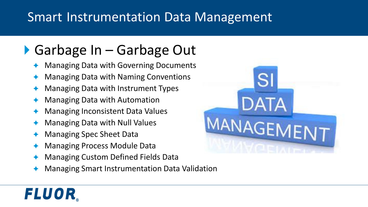#### Smart Instrumentation Data Management

### ▶ Garbage In – Garbage Out

- Managing Data with Governing Documents
- Managing Data with Naming Conventions
- Managing Data with Instrument Types
- Managing Data with Automation
- Managing Inconsistent Data Values
- Managing Data with Null Values
- Managing Spec Sheet Data

- Managing Process Module Data
- Managing Custom Defined Fields Data
- Managing Smart Instrumentation Data Validation

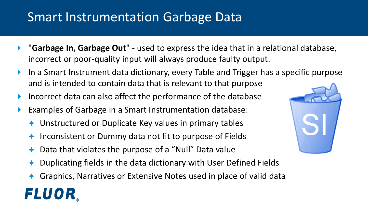#### Smart Instrumentation Garbage Data

- "**Garbage In, Garbage Out**" used to express the idea that in a relational database, incorrect or poor-quality input will always produce faulty output.
- In a Smart Instrument data dictionary, every Table and Trigger has a specific purpose and is intended to contain data that is relevant to that purpose
- Incorrect data can also affect the performance of the database
- Examples of Garbage in a Smart Instrumentation database:
	- Unstructured or Duplicate Key values in primary tables
	- Inconsistent or Dummy data not fit to purpose of Fields
	- Data that violates the purpose of a "Null" Data value
	- Duplicating fields in the data dictionary with User Defined Fields
	- Graphics, Narratives or Extensive Notes used in place of valid data

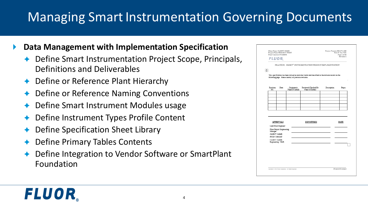### **Managing Smart Instrumentation Governing Documents**

- **Data Management with Implementation Specification**
	- Define Smart Instrumentation Project Scope, Principals, Definitions and Deliverables
	- ◆ Define or Reference Plant Hierarchy
	- Define or Reference Naming Conventions
	- Define Smart Instrument Modules usage
	- Define Instrument Types Profile Content
	- Define Specification Sheet Library
	- Define Primary Tables Contents

FLUOR.

 Define Integration to Vendor Software or SmartPlant Foundation

| <b>FLUOR</b>                    | Project Name PROJECT NAME<br><b>Fluor Contract NUMBER</b> | Date 07 Jan 2011<br>Page 1 of 38<br>Revision 1         |                                                                                                    |             |       |
|---------------------------------|-----------------------------------------------------------|--------------------------------------------------------|----------------------------------------------------------------------------------------------------|-------------|-------|
|                                 |                                                           |                                                        | PRACTICE: SMART <sup>®</sup> INSTRUMENTATION PROJECT IMPLEMENTATION                                |             |       |
| $+$                             |                                                           |                                                        |                                                                                                    |             |       |
|                                 |                                                           | following page. Please destroy all previous revisions. | This specification has been revised as indicated below and described in the revision record on the |             |       |
| Revision<br>No.                 | Date                                                      | Originator's<br>Name & Initials                        | Reviewed/Checked By<br>Name & Initials                                                             | Description | Pages |
|                                 |                                                           |                                                        |                                                                                                    |             |       |
|                                 |                                                           |                                                        |                                                                                                    |             |       |
|                                 |                                                           |                                                        |                                                                                                    |             |       |
|                                 |                                                           |                                                        |                                                                                                    |             |       |
|                                 |                                                           |                                                        |                                                                                                    |             |       |
|                                 |                                                           |                                                        |                                                                                                    |             |       |
|                                 |                                                           |                                                        |                                                                                                    |             |       |
|                                 | <b>APPROVALS</b><br>Lead Fluor Engineer:                  |                                                        | <b>SIGNATURES</b>                                                                                  |             | DATE  |
|                                 | <b>Fluor Project Engineering</b>                          |                                                        |                                                                                                    |             |       |
| Manager:<br>CLIENT NAME         |                                                           |                                                        |                                                                                                    |             |       |
| Project Manager:<br>CLIENT NAME |                                                           |                                                        |                                                                                                    |             |       |
| Engineering / SME:              |                                                           |                                                        |                                                                                                    |             |       |
|                                 |                                                           |                                                        |                                                                                                    |             |       |
|                                 |                                                           |                                                        |                                                                                                    |             |       |
|                                 |                                                           |                                                        |                                                                                                    |             |       |
|                                 |                                                           |                                                        |                                                                                                    |             |       |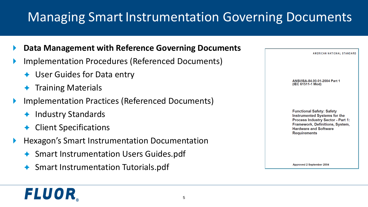### **Managing Smart Instrumentation Governing Documents**

- **Data Management with Reference Governing Documents**
- Implementation Procedures (Referenced Documents)
	- ◆ User Guides for Data entry
	- Training Materials
- Implementation Practices (Referenced Documents)
	- Industry Standards
	- **← Client Specifications**

- Hexagon's Smart Instrumentation Documentation
	- ◆ Smart Instrumentation Users Guides.pdf
	- ◆ Smart Instrumentation Tutorials.pdf

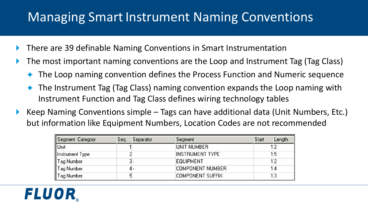#### Managing Smart Instrument Naming Conventions

- ▶ There are 39 definable Naming Conventions in Smart Instrumentation
- ▶ The most important naming conventions are the Loop and Instrument Tag (Tag Class)
	- The Loop naming convention defines the Process Function and Numeric sequence
	- ◆ The Instrument Tag (Tag Class) naming convention expands the Loop naming with Instrument Function and Tag Class defines wiring technology tables
- Keep Naming Conventions simple  $-$  Tags can have additional data (Unit Numbers, Etc.) but information like Equipment Numbers, Location Codes are not recommended

| Segment Category | Seq. | Separator | Segment          | Start | Length |
|------------------|------|-----------|------------------|-------|--------|
| Unit             |      |           | UNIT NUMBER      |       |        |
| Instrument Type  |      |           | INSTRUMENT TYPE  |       | 15     |
| Tag Number       |      |           | EQUIPMENT        |       | 12     |
| Tag Number       |      |           | COMPONENT NUMBER |       | 14     |
| I ag Number      |      |           | COMPONENT SUFFIX |       | 13     |

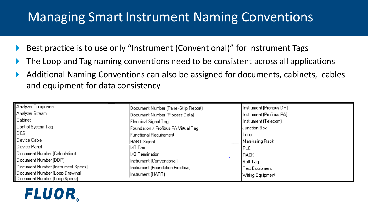#### Managing Smart Instrument Naming Conventions

- ▶ Best practice is to use only "Instrument (Conventional)" for Instrument Tags
- ▶ The Loop and Tag naming conventions need to be consistent across all applications
- Additional Naming Conventions can also be assigned for documents, cabinets, cables and equipment for data consistency

| Analyzer Component                 | Document Number (Panel-Strip Report) | [Instrument [Profibus DP]] |
|------------------------------------|--------------------------------------|----------------------------|
| Analyzer Stream                    | Document Number (Process Data)       | Hnstrument (Profibus PA).  |
| Cabinet                            | Electrical Signal Tag                | Instrument (Telecom)       |
| Control System Tag                 | Foundation / Profibus PA Virtual Tag | Uunction Box               |
| <b>DCS</b>                         | Functional Requirement               | l Loop.                    |
| Device Cable                       | HART Sianal                          | Marshaling Rack            |
| Device Panel                       | 11/0 Card                            | IPLC                       |
| Document Number (Calculation)      | II/O Termination.                    | IRACK                      |
| Document Number (DDP)              | Instrument (Conventional)            | Soft Tag                   |
| Document Number (Instrument Specs) | Instrument (Foundation Fieldbus)     | Test Equipment             |
| Document Number (Loop Drawing)     | Instrument (HART)                    | Wiring Equipment           |
| Document Number (Loop Specs)       |                                      |                            |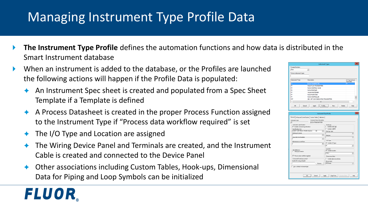### Managing Instrument Type Profile Data

- **The Instrument Type Profile** defines the automation functions and how data is distributed in the Smart Instrument database
- When an instrument is added to the database, or the Profiles are launched the following actions will happen if the Profile Data is populated:
	- An Instrument Spec sheet is created and populated from a Spec Sheet Template if a Template is defined
	- A Process Datasheet is created in the proper Process Function assigned to the Instrument Type if "Process data workflow required" is set
	- $\triangle$  The I/O Type and Location are assigned

- The Wiring Device Panel and Terminals are created, and the Instrument Cable is created and connected to the Device Panel
- Other associations including Custom Tables, Hook-ups, Dimensional Data for Piping and Loop Symbols can be initialized

|                                                                 | <b>Instrument Types</b>              |                          |
|-----------------------------------------------------------------|--------------------------------------|--------------------------|
| Process function:                                               |                                      |                          |
| Flow<br>$\blacktriangledown$                                    |                                      |                          |
| Find an instrument type:                                        |                                      |                          |
|                                                                 |                                      |                          |
|                                                                 |                                      |                          |
| Instrument Type<br>Description                                  |                                      | CS Tag Instrum           |
| <b>FLOW TRANSMITTER</b>                                         |                                      | Type Alas                |
| lт<br><b>MASS FLOW TRANSMITTER</b>                              |                                      |                          |
| lev<br>FLOW CONTROL VALVE                                       |                                      |                          |
| lex<br><b>FLOW PROFILER</b>                                     |                                      |                          |
| VALVE POSITIONER<br>ley                                         |                                      |                          |
| ley<br><b>FLOW FUNCTION</b>                                     |                                      |                          |
| l۳<br><b>FLOW CONTROLLER</b>                                    |                                      |                          |
| lezt                                                            | SIS - DP FLOW INDICATING TRANSMITTER |                          |
| $\epsilon$                                                      | $\mathbf{m}$                         | $\overline{ }$           |
|                                                                 |                                      |                          |
| $\propto$<br>Cancel<br><b>Apply</b>                             | Profile<br>Delete<br>New             | Help                     |
|                                                                 |                                      |                          |
|                                                                 |                                      |                          |
|                                                                 |                                      |                          |
|                                                                 | Instrument Type Profile              |                          |
|                                                                 |                                      |                          |
| General   Wing and Control System   Custom Tables   Calibration |                                      |                          |
|                                                                 |                                      |                          |
| Instrument type description:                                    |                                      |                          |
| FLOW TRANSMITTER                                                |                                      |                          |
| Instrument specifications                                       | Hook ups                             |                          |
| $\overline{\mathbf{v}}$ Include instrument goodication:         | F Include hook ups                   |                          |
| Specification form:                                             | F Include in EOM                     |                          |
| SMART DIFF PRESS TRANS IFLOWT<br>58                             | $\blacksquare$<br>Hook-up type:      |                          |
| Multi-tag list format:                                          |                                      |                          |
|                                                                 | $\blacksquare$<br>Hook-up:           |                          |
| Copy data from template                                         |                                      | ٠                        |
|                                                                 | $\overline{\phantom{a}}$<br>I/O Type | $\blacksquare$           |
| Maintenance event form                                          | T Include I/O type:                  |                          |
|                                                                 | $\blacksquare$<br>网                  |                          |
|                                                                 |                                      | ٠                        |
| Miscellaneous                                                   | Location                             |                          |
| Skip loop creation                                              | T Include jocation:                  |                          |
|                                                                 | <b>FIELD</b>                         |                          |
| ▽ Process data workflow reguired                                | Dimensional data                     |                          |
| Enhanced Smart.cop symbol                                       | Include dimensional data:            | $\overline{\phantom{a}}$ |
| Symbol file name and path:                                      | Group name:                          |                          |
|                                                                 | All Groups<br>Вгонка                 | $\bullet$                |
|                                                                 |                                      |                          |
| Set as default instrument type                                  |                                      |                          |
| Instrument type:                                                |                                      |                          |
|                                                                 |                                      |                          |
|                                                                 |                                      |                          |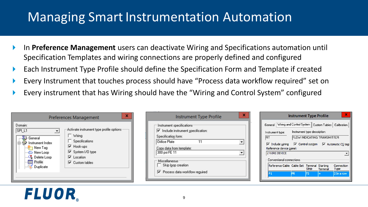#### **Managing Smart Instrumentation Automation**

- In **Preference Management** users can deactivate Wiring and Specifications automation until Specification Templates and wiring connections are properly defined and configured
- Each Instrument Type Profile should define the Specification Form and Template if created
- Every Instrument that touches process should have "Process data workflow required" set on
- Every instrument that has Wiring should have the "Wiring and Control System" configured

|                                                                                                                                       | <b>Preferences Management</b>                                                                                                                                                                      |
|---------------------------------------------------------------------------------------------------------------------------------------|----------------------------------------------------------------------------------------------------------------------------------------------------------------------------------------------------|
| Domain:<br>SPI L1<br>General<br>Instrument Index<br>New Tag<br><b>D</b> New Loop<br>Delete Loop<br>Profile<br><b>WEE</b><br>Duplicate | Activate instrument type profile options<br>$\Box$ Wiring<br>Specifications<br><b>▽</b> Hook-ups<br>√ System I/O type<br>$\overline{\mathbf{v}}$ Location<br>$\overline{\mathbf{v}}$ Custom tables |

| Instrument Type Profile                           |  |
|---------------------------------------------------|--|
| Instrument specifications                         |  |
| $\triangledown$ Include instrument specification: |  |
|                                                   |  |
| 11                                                |  |
| Copy data from template:                          |  |
|                                                   |  |
|                                                   |  |
| Skip loop creation                                |  |
| $\triangledown$ Process data workflow reguired    |  |
|                                                   |  |

|                                                                 | <b>Instrument Type Profile</b> |       |                             |                                                                  |
|-----------------------------------------------------------------|--------------------------------|-------|-----------------------------|------------------------------------------------------------------|
| General Wiring and Control System   Custom Tables   Calibration |                                |       |                             |                                                                  |
| Instrument type:                                                | Instrument type description:   |       |                             |                                                                  |
| FIT                                                             |                                |       | FLOW INDICATING TRANSMITTER |                                                                  |
|                                                                 |                                |       |                             |                                                                  |
| $\triangledown$ Indude wiring<br>Reference device panel:        |                                |       |                             | $\triangledown$ Control system $\triangledown$ Automatic CS tags |
| 2 WIRE DEVICE<br>Conventional connections                       |                                |       |                             |                                                                  |
| Reference Cable Cable Set Terminal Starting                     |                                | Strip | Terminal                    | Connection<br>Type                                               |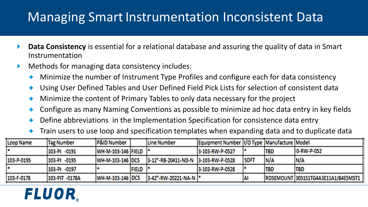#### **Managing Smart Instrumentation Inconsistent Data**

- **Data Consistency** is essential for a relational database and assuring the quality of data in Smart Instrumentation
- **Methods for managing data consistency includes:** 
	- Minimize the number of Instrument Type Profiles and configure each for data consistency
	- Using User Defined Tables and User Defined Field Pick Lists for selection of consistent data
	- Minimize the content of Primary Tables to only data necessary for the project
	- Configure as many Naming Conventions as possible to minimize ad hoc data entry in key fields
	- Define abbreviations in the Implementation Specification for consistence data entry
	- Train users to use loop and specification templates when expanding data and to duplicate data

| Loop Name  | <b>Tag Number</b> | P&ID Number           |                 | Line Number                         | Equipment Number  I/O Type   Manufacture   Model |      |            |                                     |
|------------|-------------------|-----------------------|-----------------|-------------------------------------|--------------------------------------------------|------|------------|-------------------------------------|
|            | 103-PI -0191      | WH-M-103-146 FIELD  * |                 |                                     | 3-103-RW-P-0527                                  |      | <b>TBD</b> | 13-RW-P-052                         |
| 103-P-0195 | 103-PI -0195      | WH-M-103-146 DCS      |                 | 3-12"-RB-20411-ND-N 3-103-RW-P-0528 |                                                  | SOFT | N/A        | N/A                                 |
|            | 103-PI -0197      |                       | <b>FIELD</b>  * |                                     | 3-103-RW-P-0528                                  |      | <b>TBD</b> | <b>TBD</b>                          |
| 103-F-0178 | 103-PIT -0178A    | WH-M-103-146 DCS      |                 | 3-42"-RW-20221-NA-N                 |                                                  | ΙAΙ  |            | ROSEMOUNT 3051S1TG4A3E11A1JB4E5M5T1 |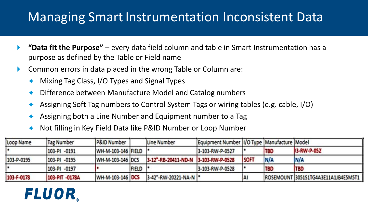#### **Managing Smart Instrumentation Inconsistent Data**

- **"Data fit the Purpose"**  every data field column and table in Smart Instrumentation has a purpose as defined by the Table or Field name
- **Common errors in data placed in the wrong Table or Column are:** 
	- Mixing Tag Class, I/O Types and Signal Types
	- Difference between Manufacture Model and Catalog numbers
	- Assigning Soft Tag numbers to Control System Tags or wiring tables (e.g. cable, I/O)
	- Assigning both a Line Number and Equipment number to a Tag
	- Not filling in Key Field Data like P&ID Number or Loop Number

| Loop Name  | Tag Number     | P&ID Number        |                 | Line Number                         | Equipment Number 1/0 Type Manufacture Model |             |            |                                     |
|------------|----------------|--------------------|-----------------|-------------------------------------|---------------------------------------------|-------------|------------|-------------------------------------|
|            | 103-PI -0191   | WH-M-103-146 FIELD |                 |                                     | 3-103-RW-P-0527                             |             | <b>TBD</b> | 13-RW-P-052                         |
| 103-P-0195 | 103-PI -0195   | WH-M-103-146 DCS   |                 | 3-12"-RB-20411-ND-N 3-103-RW-P-0528 |                                             | <b>SOFT</b> | N/A        | N/A                                 |
|            | 103-PI -0197   |                    | <b>FIELD</b>  * |                                     | 3-103-RW-P-0528                             |             | <b>TBD</b> | <b>TBD</b>                          |
| 103-F-0178 | 103-PIT -0178A | WH-M-103-146 DCS   |                 | 3-42"-RW-20221-NA-N                 |                                             | IAI         |            | ROSEMOUNT 3051S1TG4A3E11A1JB4E5M5T1 |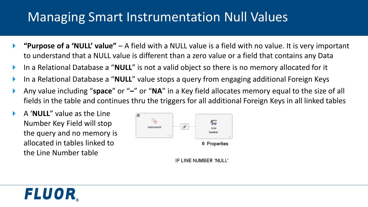#### Managing Smart Instrumentation Null Values

- **"Purpose of a 'NULL' value"**  A field with a NULL value is a field with no value. It is very important to understand that a NULL value is different than a zero value or a field that contains any Data
- In a Relational Database a "**NULL**" is not a valid object so there is no memory allocated for it
- In a Relational Database a "**NULL**" value stops a query from engaging additional Foreign Keys
- Any value including "**space**" or "**–**" or "**NA**" in a Key field allocates memory equal to the size of all fields in the table and continues thru the triggers for all additional Foreign Keys in all linked tables
- A '**NULL**" value as the Line Number Key Field will stop the query and no memory is allocated in tables linked to the Line Number table

FLUOR



IF LINE NUMBER 'NULL'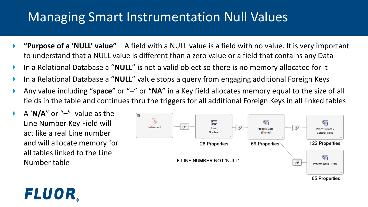#### Managing Smart Instrumentation Null Values

- **"Purpose of a 'NULL' value"**  A field with a NULL value is a field with no value. It is very important to understand that a NULL value is different than a zero value or a field that contains any Data
- In a Relational Database a "**NULL**" is not a valid object so there is no memory allocated for it
- In a Relational Database a "**NULL**" value stops a query from engaging additional Foreign Keys
- Any value including "**space**" or "**–**" or "**NA**" in a Key field allocates memory equal to the size of all fields in the table and continues thru the triggers for all additional Foreign Keys in all linked tables
- A '**N/A**" or "**–**" value as the Line Number Key Field will act like a real Line number and will allocate memory for all tables linked to the Line Number table

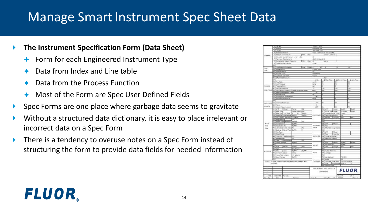#### Manage Smart Instrument Spec Sheet Data

#### **The Instrument Specification Form (Data Sheet)**

- Form for each Engineered Instrument Type
- Data from Index and Line table
- Data from the Process Function
- ◆ Most of the Form are Spec User Defined Fields
- Spec Forms are one place where garbage data seems to gravitate
- Without a structured data dictionary, it is easy to place irrelevant or incorrect data on a Spec Form
- There is a tendency to overuse notes on a Spec Form instead of structuring the form to provide data fields for needed information

|                    |                |                                        |                                                                |                         |                   |                           |                      | INSTRUMENT SPECIFICATION                                 |              | <b>FLUOR</b>         |              |  |
|--------------------|----------------|----------------------------------------|----------------------------------------------------------------|-------------------------|-------------------|---------------------------|----------------------|----------------------------------------------------------|--------------|----------------------|--------------|--|
|                    |                |                                        |                                                                |                         |                   |                           |                      |                                                          |              |                      |              |  |
|                    |                |                                        |                                                                |                         |                   |                           |                      |                                                          |              |                      |              |  |
|                    | continuals     |                                        |                                                                |                         |                   |                           |                      | 82 Price Bath Number 3250 S.<br>83 Enrise Murrities      |              |                      | ь            |  |
|                    |                |                                        | Notas: 7. Vietre to be supplied fully assembled, marked , with |                         |                   | PURCHASE                  |                      | 81 Putchees Crowr Num                                    |              | 1.8.83P-002          |              |  |
|                    |                |                                        |                                                                |                         |                   |                           |                      | <b>Bill Model</b>                                        |              |                      |              |  |
|                    |                | 54 Barvin Range                        |                                                                | <b>Biy Aarts</b>        |                   |                           |                      | 79 Manufacturer                                          |              | <b>FIDER</b>         |              |  |
|                    |                | 53 Prianderhiel Location               |                                                                | NOT REQUIRED            |                   |                           | T1                   |                                                          |              |                      |              |  |
|                    |                | <b>NJ</b> Ar Fana's Valve              |                                                                | CKNA                    |                   | <b>TEATS</b>              |                      | 27 Leasage                                               |              |                      |              |  |
| <b>ACTUATOR</b>    |                | fd 829 ANA                             |                                                                | <b>By MTF</b>           | <b>By MR</b>      |                           |                      | 24 Hydro Hreesure                                        |              |                      |              |  |
|                    |                | <b>MI 7x66</b>                         |                                                                | Dealvage                |                   |                           | $\overline{1}$       |                                                          |              |                      |              |  |
|                    |                | <b>AS APPR</b>                         | Middle                                                         | Frank                   | <b>Boni</b>       |                           |                      | 24 Filter                                                | Cauge        | $\frac{1}{2}$        | <b>Tus</b>   |  |
|                    | 43             |                                        |                                                                |                         |                   | ARSET.                    |                      | 73 Sid Pricesure                                         |              | By Mt                |              |  |
|                    |                | 47 Clinikal Material                   |                                                                | <b>By MY</b>            |                   |                           |                      | 721 MPH                                                  | <b>Stone</b> | by Mir               | <b>Bu MR</b> |  |
|                    |                |                                        | 49 Cage - Then Malara                                          |                         | <b>SUR</b>        |                           | 73                   |                                                          |              |                      |              |  |
|                    |                | 45 Sout Voterial                       |                                                                | <b>Bill</b>             |                   |                           |                      | 70 Switching Position                                    |              |                      |              |  |
|                    |                |                                        | 442 Plugr Barr Clok Mater                                      | 1/3                     |                   | SWITCHES.                 |                      | 69 Contacts / Ruting                                     |              |                      |              |  |
|                    |                | 43 Flattell Triavel                    |                                                                |                         |                   |                           |                      | 68 Type                                                  | Guarity      |                      |              |  |
|                    |                | 43 Tran Type                           |                                                                |                         |                   |                           |                      | <b>GZENETL</b>                                           | <b>Mote</b>  |                      |              |  |
| ting               |                |                                        | 41 Quiding \$80. of Ports By Mt                                |                         |                   |                           |                      |                                                          |              |                      |              |  |
|                    |                |                                        | 40 Lubricator Bolist, Valvia No                                |                         | No                | <b>SEWA</b>               |                      | 66 When De-Enegr Valve                                   |              |                      |              |  |
| AND                |                | 36 Flow Direction<br>30 Flow Action To |                                                                | Ey 503<br>Biy Mft       |                   | 100/05/20                 |                      | 63 5875<br>64 Tistia                                     | <b>Mote</b>  |                      |              |  |
| BODY               |                |                                        |                                                                |                         |                   |                           |                      |                                                          |              |                      |              |  |
|                    |                |                                        | 37 Bonnet Type Meterial Ethiopal                               |                         | bs                |                           | 42                   |                                                          |              |                      |              |  |
|                    |                | N Rody Material                        | 8 End Cannus, & Rating. 300 # RF                               | $\overline{a}$          |                   |                           | 41                   | Ed Bycasa                                                | CALIDAR      | <b>Tas</b>           |              |  |
|                    |                |                                        |                                                                |                         |                   |                           |                      |                                                          |              |                      | Yus.         |  |
|                    |                |                                        | 34 Flatud Ov Characteris Dis Mfr                               |                         | by Mt             | <b>POSITIONIN</b>         | 18 Carr Characterson |                                                          |              | 1/26                 |              |  |
|                    |                | <b>ID Body Type</b>                    | 33 Body Stays Trim filaw                                       | <b>Single Door Once</b> | <b>Du Mft</b>     |                           |                      | ST Signal link Cultab<br>581<br>Profession Signal Valvio |              | Cours                |              |  |
|                    |                |                                        |                                                                |                         |                   |                           |                      |                                                          |              | 5.15 (44)            | by Mt        |  |
|                    |                | <b>PLAPR</b>                           | <b>William</b>                                                 | Furwr                   | ю                 |                           |                      | <b>DES NATION</b>                                        | <b>MOL</b>   | by Mr                | <b>By MY</b> |  |
| <b>REMANS</b>      |                |                                        | 30 Scurist Photograph Layout                                   |                         |                   | <b>GEA</b>                | m                    |                                                          | w            |                      | 24           |  |
|                    |                | 29 Triaval                             |                                                                |                         |                   | -<br>5                    |                      |                                                          |              |                      |              |  |
| EALELEATHS         |                | 20 From Confidents CV                  |                                                                |                         |                   | $\overline{\phantom{a}}$  | w                    |                                                          | 13           |                      | ū            |  |
|                    |                |                                        |                                                                |                         |                   |                           |                      |                                                          |              |                      |              |  |
|                    |                |                                        | 24 Freet Vacious Promote                                       |                         |                   | turig                     | π                    |                                                          | Ħ            |                      |              |  |
|                    |                |                                        | <b>25 ISBN SQUIDE FINISH FLASS</b>                             |                         |                   | $\sim$                    |                      |                                                          |              |                      |              |  |
|                    |                | of treat Vincolnity                    |                                                                |                         |                   | ó                         |                      |                                                          |              |                      |              |  |
|                    |                |                                        | 23 For Constrainting Faster                                    |                         |                   | -                         |                      |                                                          |              |                      |              |  |
| CONDITIONS         | m              |                                        | <b>Stat Clonaty / Rosofto Gravity / Molecular Mass</b>         |                         |                   | <b>Agility</b>            | <b>ADD</b>           |                                                          | <b>ISK</b>   |                      | no.          |  |
|                    |                | · Irest Temperature                    |                                                                |                         |                   |                           | 1.60                 |                                                          | ¢            |                      | HS.          |  |
| <b>PROCESS</b>     |                | 20 Proseura Chief                      |                                                                |                         |                   | <b>Lui</b>                | т                    |                                                          | т            |                      |              |  |
|                    |                | TO 1964 Photosofts                     |                                                                |                         |                   | fur-g                     | 14                   |                                                          | u            |                      | $\mathbf{u}$ |  |
|                    |                | 13 Frie Ride                           |                                                                |                         |                   | Am <sup>18</sup>          | ù.                   |                                                          | Σ            |                      |              |  |
|                    | $\overline{1}$ |                                        |                                                                |                         |                   | 1200                      |                      | (2 Max, Flow)                                            |              | <b>EL Norm, Flow</b> | di Mn. Fizw. |  |
|                    |                | 16 Cliftwartial Preseurs               |                                                                |                         |                   |                           |                      | <b>Trait</b>                                             |              |                      |              |  |
|                    |                | 15 Upstraam Condition                  |                                                                |                         |                   | Lister.                   |                      |                                                          |              |                      |              |  |
|                    |                | 14 Process FLAD                        |                                                                |                         |                   | Laah Feed                 |                      |                                                          |              |                      |              |  |
|                    |                | 13 Play Insuration                     |                                                                |                         |                   | no.                       |                      |                                                          |              |                      |              |  |
| <b>FIN</b><br>LINE |                | 12 Pipe Material                       |                                                                |                         |                   | Cartion sheet             |                      |                                                          |              |                      |              |  |
|                    |                |                                        | 11 Line Bize and Bchedule                                      |                         | <b>Inal Dulat</b> | п                         | w                    | π                                                        | ☞            |                      | ₩            |  |
|                    | 好              |                                        |                                                                |                         |                   |                           |                      |                                                          |              |                      |              |  |
|                    |                |                                        | 1 Fower Falura Powter                                          |                         |                   | ClOse                     |                      |                                                          |              |                      |              |  |
|                    |                |                                        | 4 Available Art Bubbly Private to                              |                         | Mr. Blue.         | EG)                       |                      | 59.9                                                     |              |                      |              |  |
|                    |                |                                        | 7 Tichtingss Raguinaments                                      |                         |                   | <b>ANGEL NY INSURANCE</b> |                      |                                                          |              |                      |              |  |
| GENERAL            |                |                                        | 4 Attending Scientiff Institute Lover attitu                   |                         |                   | 9O                        |                      |                                                          |              |                      |              |  |
|                    |                |                                        | 1 Antium Temperature                                           |                         | Mr. Blue          |                           |                      | Class 1, Chilson                                         |              |                      |              |  |
|                    |                | 4 Area Crassification                  |                                                                |                         |                   |                           |                      | Class 1. Division 2, Groups C&D.                         |              |                      |              |  |
|                    |                | 2 Link No.                             |                                                                |                         |                   | 412-1007-104              |                      |                                                          |              |                      |              |  |
|                    |                | 2 Service                              |                                                                |                         |                   | Feather V-8               |                      |                                                          |              |                      |              |  |
|                    |                | 1 Tag No                               |                                                                |                         |                   | 1013-V - 108              |                      |                                                          |              |                      |              |  |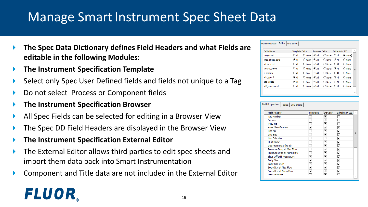#### Manage Smart Instrument Spec Sheet Data

- **The Spec Data Dictionary defines Field Headers and what Fields are editable in the following Modules:**
- **The Instrument Specification Template**
- Select only Spec User Defined fields and fields not unique to a Tag
- Do not select Process or Component fields
- **The Instrument Specification Browser**

- All Spec Fields can be selected for editing in a Browser View
- The Spec DD Field Headers are displayed in the Browser View
- **The Instrument Specification External Editor**
- The External Editor allows third parties to edit spec sheets and import them data back into Smart Instrumentation
- Component and Title data are not included in the External Editor

| <b>Table Name</b> | <b>Template Fields</b> |                | <b>Browser Fields</b> |                | <b>Editable in IEE</b> |                |          |
|-------------------|------------------------|----------------|-----------------------|----------------|------------------------|----------------|----------|
| component         | $\cap$ all             | C None         | - G ΔI                | C None C All   |                        | C None         |          |
| spec sheet data   | G All                  | $\bigcap$ None | © ∆ll                 | C None         | ∣ © ∆ll                | $\bigcap$ None |          |
| pd general        | $\bigcap$ All          | C None         | <b>CAI</b>            | $\cap$ None    | <b>CAL</b>             | $\bigcap$ None |          |
| control valve     | $\bigcirc$ all         | $\cap$ None    | <b>CAI</b>            | $\bigcap$ None | $C$ all                | $\bigcap$ None | $\equiv$ |
| v projinfo        | $\bigcap$ All          | $\bigcap$ None | <b>CAI</b>            | $\bigcap$ None | $C$ all                | C None         |          |
| add spec2         | $G$ All                | $\bigcap$ None | $G$ All               | $\bigcap$ None | <b>CAI</b>             | C None         |          |
| add spec1         | $G$ All                | C None         | $G$ All               | C None         | G All                  | C None         |          |
| udf component     | $\cap$ All             | C None         | $G$ all               | $\bigcap$ None | $\overline{G}$ all     | C None         |          |

| <b>Field Header</b>        | Template | <b>Browser</b> | Editable in <b>IEE</b> |
|----------------------------|----------|----------------|------------------------|
| <b>Tag Number</b>          |          | ⊽              |                        |
| Service                    |          | ⊽              |                        |
| P&ID No                    |          | ⊽              |                        |
| Area Classification        | ⊽        | ⊽              | ⊽                      |
| Line No                    |          | ⊽              | ज                      |
| Line Size                  |          | ⊽              | ⊽                      |
| Line Schedule              |          | ⊽              | ⊽                      |
| <b>Fluid Name</b>          |          | ⊽              | ⊽                      |
| Des Press Max (psi-q)      |          | ⊽              | ⊽                      |
| Pressure Drop at Max Flow  |          | ⊽              | ⊽                      |
| Pressure Drop at Norm Flow |          | ⊽              | ⊽                      |
| Shut-Off Diff Press UOM    | ⊽        | ⊽              | ⊽                      |
| <b>Body Size</b>           | ⊽        | ⊽              | ⊽                      |
| <b>Body Size UOM</b>       | ⊽        | ⊽              | ⊽                      |
| Sound Lyl at Max Flow      | ⊽        | ⊽              | ⊽                      |
| Sound Lvl at Norm Flow     | ⊽        | ⊽              | ⊽                      |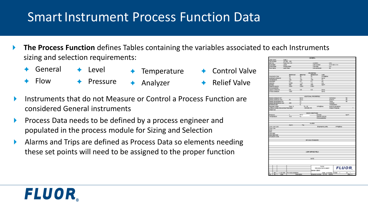#### Smart Instrument Process Function Data

 **The Process Function** defines Tables containing the variables associated to each Instruments sizing and selection requirements:

Temperature

- General  $\leftarrow$  Level
- **← Flow**
- $\leftarrow$  Pressure
- Analyzer
- **← Control Valve** 
	- **← Relief Valve**
- Instruments that do not Measure or Control a Process Function are considered General instruments
- **Process Data needs to be defined by a process engineer and** populated in the process module for Sizing and Selection
- Alarms and Trips are defined as Process Data so elements needing these set points will need to be assigned to the proper function

| ase name<br><b>ALCOHOL</b><br>100308   | Case 1<br>101-PE -100          |                  |                                |                    |                         |                         |
|----------------------------------------|--------------------------------|------------------|--------------------------------|--------------------|-------------------------|-------------------------|
|                                        |                                |                  |                                |                    |                         |                         |
|                                        |                                |                  |                                |                    |                         |                         |
|                                        |                                |                  |                                |                    |                         |                         |
|                                        | Feed from V-5                  |                  | Location                       |                    | in                      |                         |
| "Lett state                            |                                |                  | Line number                    |                    | 4149-1501-11H           |                         |
| <b>LAS DOMA</b>                        | Liquid<br>Single phase         |                  | Line size:                     |                    | 4 <sub>m</sub>          |                         |
| <b>WE hame</b>                         | Lean Feed                      |                  |                                | Line schedule      | m                       |                         |
|                                        |                                |                  |                                |                    |                         |                         |
|                                        |                                |                  |                                |                    |                         |                         |
|                                        |                                |                  |                                |                    |                         |                         |
|                                        |                                |                  | <b>PROFERTIES</b>              |                    |                         |                         |
|                                        | <b>GMWH/E</b>                  | <b>GNOTIA</b>    | <b><i><u>GALWAYNUM</u></i></b> | <b>LESS</b>        |                         |                         |
| <b>GRATINIZIO TOM</b>                  | z                              | ×                | 32                             | nanddos            |                         |                         |
|                                        |                                |                  |                                |                    |                         |                         |
| <b>CATHAIN DIMAGES</b>                 |                                |                  |                                | ans                |                         |                         |
| <b>NIGHT BUTS</b>                      | $\frac{12}{180}$               |                  |                                |                    |                         |                         |
| CROSSING                               | ß.                             | Ř                | $rac{14}{100}$                 | ž                  |                         |                         |
| cessity.                               | 0.926                          | $\overline{1}$   |                                | m                  |                         |                         |
|                                        |                                |                  | 12                             |                    |                         |                         |
| <b>STATE</b>                           | 532                            | 脳                | 529                            | sant               |                         |                         |
| peont gravity                          | 2.03                           | 2.893            | 9.89                           |                    |                         |                         |
| concessibility.                        |                                |                  |                                |                    |                         |                         |
|                                        | 44                             | I3               | $\frac{1}{2}$                  | ban-g              |                         |                         |
| <b>AROUS RIMAINS</b>                   |                                |                  |                                |                    |                         |                         |
| <b>Visage pressure</b>                 | 1200                           |                  |                                | bang.              |                         |                         |
|                                        |                                |                  |                                |                    |                         |                         |
|                                        |                                |                  |                                |                    |                         |                         |
|                                        |                                |                  | ACCITIONAL PROPERTIES          |                    |                         |                         |
|                                        |                                |                  |                                |                    |                         |                         |
| <b>CELLER STREETS FOR</b>              |                                | bar <sub>4</sub> |                                |                    | Constitute              | ×                       |
| esign pressure max.                    | $\overline{50}$                | 3815             |                                |                    | Engine                  | $\overline{\mathbf{x}}$ |
| esign temperature min                  |                                |                  |                                |                    | Toxic                   | ×                       |
| esign temperature max                  | 250                            |                  |                                |                    | Coores                  |                         |
|                                        |                                | $\frac{1}{2}$    |                                |                    |                         |                         |
| asp termine                            |                                |                  |                                |                    | Transparent             |                         |
| Required range                         | From 0                         | Ta: 36           |                                | ningdox            | Build-up tenoency       |                         |
| Irwits on press crop across flowmeter. |                                |                  | mmH20-45                       |                    | Angle of repose         |                         |
| <b>Deck Cut</b>                        |                                |                  |                                |                    |                         |                         |
|                                        |                                |                  |                                |                    |                         |                         |
|                                        |                                |                  |                                |                    |                         |                         |
|                                        |                                |                  | BASE CONCITIONS                |                    |                         |                         |
| THEFT.                                 |                                | bar-a            |                                | Density            |                         | <b>NGCH</b>             |
|                                        |                                | $\sim$           |                                |                    |                         |                         |
| Temperature                            | 18.8                           |                  |                                | Specific oravity   |                         |                         |
|                                        |                                |                  |                                | Compressibility    |                         |                         |
|                                        |                                |                  |                                |                    |                         |                         |
|                                        |                                |                  |                                |                    |                         |                         |
|                                        |                                |                  |                                |                    |                         |                         |
|                                        |                                |                  | <b>ALABIA</b>                  |                    |                         |                         |
|                                        | Alarm                          | Y4               |                                |                    |                         |                         |
|                                        |                                |                  |                                | thoreems units     | mAn dirion              |                         |
|                                        |                                |                  |                                |                    |                         |                         |
| 28-128-128                             |                                |                  |                                |                    |                         |                         |
| 901-90.                                |                                |                  |                                |                    |                         |                         |
| 28.                                    |                                |                  |                                |                    |                         |                         |
| 92.                                    |                                |                  |                                |                    |                         |                         |
|                                        |                                |                  |                                |                    |                         |                         |
| 1091407.                               |                                |                  |                                |                    |                         |                         |
|                                        |                                |                  |                                |                    |                         |                         |
| <b>Publish Code</b>                    |                                |                  |                                |                    |                         |                         |
|                                        |                                |                  |                                |                    |                         |                         |
|                                        |                                |                  |                                |                    |                         |                         |
|                                        |                                |                  | API 2542 STANDARD              |                    |                         |                         |
|                                        |                                |                  |                                |                    |                         |                         |
|                                        |                                |                  |                                |                    |                         |                         |
|                                        |                                |                  |                                |                    |                         |                         |
|                                        |                                |                  |                                |                    |                         |                         |
|                                        |                                |                  |                                |                    |                         |                         |
|                                        |                                |                  |                                |                    |                         |                         |
|                                        |                                |                  |                                |                    |                         |                         |
|                                        |                                |                  | USER DEFINED FELD.             |                    |                         |                         |
|                                        |                                |                  |                                |                    |                         |                         |
|                                        |                                |                  |                                |                    |                         |                         |
|                                        |                                |                  |                                |                    |                         |                         |
| Sigh High-High                         |                                |                  |                                |                    |                         |                         |
|                                        |                                |                  |                                |                    |                         |                         |
|                                        |                                |                  | $\times 1$                     |                    |                         |                         |
|                                        |                                |                  |                                |                    |                         |                         |
|                                        |                                |                  |                                |                    |                         |                         |
|                                        |                                |                  |                                |                    |                         |                         |
|                                        |                                |                  |                                |                    |                         |                         |
|                                        |                                |                  |                                |                    |                         |                         |
|                                        |                                |                  |                                | <b>PLOW</b>        |                         |                         |
|                                        |                                |                  |                                | PROCESS DATA SHEET |                         |                         |
|                                        |                                |                  |                                |                    |                         | <b>FLUOR</b>            |
| M5                                     | T1/19/1998 Por instrumentation |                  | Exercain: DEMO                 |                    | Date: 4/13/2004 Dheet 1 | $\alpha$                |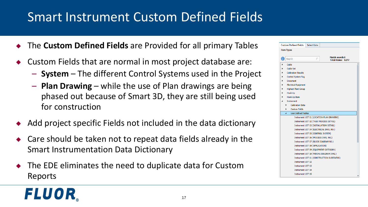#### Smart Instrument Custom Defined Fields

- The **Custom Defined Fields** are Provided for all primary Tables
- Custom Fields that are normal in most project database are:
	- **System**  The different Control Systems used in the Project
	- **Plan Drawing**  while the use of Plan drawings are being phased out because of Smart 3D, they are still being used for construction
- Add project specific Fields not included in the data dictionary
- Care should be taken not to repeat data fields already in the Smart Instrumentation Data Dictionary
- The EDE eliminates the need to duplicate data for Custom Reports

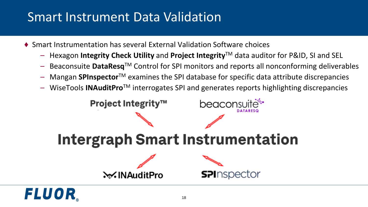### Smart Instrument Data Validation

- ♦ Smart Instrumentation has several External Validation Software choices
	- Hexagon **Integrity Check Utility** and **Project Integrity**TM data auditor for P&ID, SI and SEL
	- Beaconsuite **DataResq**TM Control for SPI monitors and reports all nonconforming deliverables
	- Mangan **SPInspector**TM examines the SPI database for specific data attribute discrepancies
	- WiseTools **INAuditPro**TM interrogates SPI and generates reports highlighting discrepancies

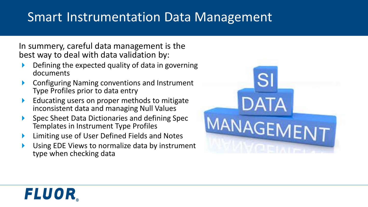#### Smart Instrumentation Data Management

In summery, careful data management is the best way to deal with data validation by:

- Defining the expected quality of data in governing documents
- Configuring Naming conventions and Instrument Type Profiles prior to data entry
- Educating users on proper methods to mitigate inconsistent data and managing Null Values
- ▶ Spec Sheet Data Dictionaries and defining Spec Templates in Instrument Type Profiles
- Limiting use of User Defined Fields and Notes
- Using EDE Views to normalize data by instrument type when checking data